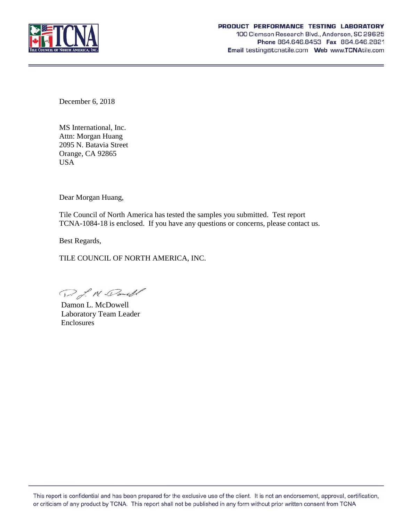

December 6, 2018

MS International, Inc. Attn: Morgan Huang 2095 N. Batavia Street Orange, CA 92865 USA

Dear Morgan Huang,

Tile Council of North America has tested the samples you submitted. Test report TCNA-1084-18 is enclosed. If you have any questions or concerns, please contact us.

Best Regards,

TILE COUNCIL OF NORTH AMERICA, INC.

D. J. M. Donell

Damon L. McDowell Laboratory Team Leader Enclosures

This report is confidential and has been prepared for the exclusive use of the client. It is not an endorsement, approval, certification, or criticism of any product by TCNA. This report shall not be published in any form without prior written consent from TCNA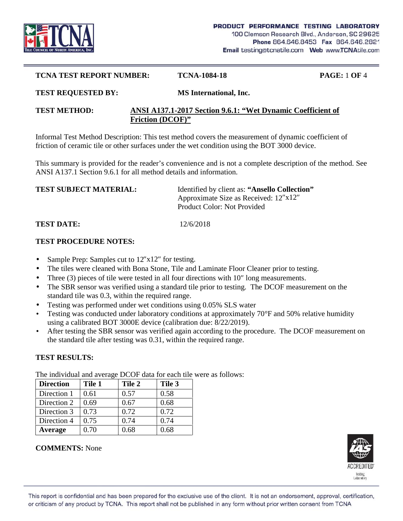

#### **TCNA TEST REPORT NUMBER: TCNA-1084-18 PAGE:** 1 **OF** 4

#### **TEST REQUESTED BY: MS International, Inc.**

## **TEST METHOD: ANSI A137.1-2017 Section 9.6.1: "Wet Dynamic Coefficient of Friction (DCOF)"**

Informal Test Method Description: This test method covers the measurement of dynamic coefficient of friction of ceramic tile or other surfaces under the wet condition using the BOT 3000 device.

This summary is provided for the reader's convenience and is not a complete description of the method. See ANSI A137.1 Section 9.6.1 for all method details and information.

| Identified by client as: "Ansello Collection" |
|-----------------------------------------------|
| Approximate Size as Received: 12 x12          |
| Product Color: Not Provided                   |
|                                               |

**TEST DATE:** 12/6/2018

## **TEST PROCEDURE NOTES:**

- Sample Prep: Samples cut to 12 x12 for testing.
- The tiles were cleaned with Bona Stone, Tile and Laminate Floor Cleaner prior to testing.
- Three (3) pieces of tile were tested in all four directions with 10 long measurements.
- The SBR sensor was verified using a standard tile prior to testing. The DCOF measurement on the standard tile was 0.3, within the required range.
- Testing was performed under wet conditions using 0.05% SLS water
- Testing was conducted under laboratory conditions at approximately 70°F and 50% relative humidity using a calibrated BOT 3000E device (calibration due: 8/22/2019).
- After testing the SBR sensor was verified again according to the procedure. The DCOF measurement on the standard tile after testing was 0.31, within the required range.

## **TEST RESULTS:**

**Direction Tile 1 Tile 2 Tile 3** Direction 1 |  $0.61$  |  $0.57$  |  $0.58$ Direction 2  $\begin{array}{|l} 0.69 \end{array}$  0.67  $\begin{array}{|l} 0.68 \end{array}$ Direction 3  $\vert 0.73 \vert 0.72 \vert 0.72$ Direction 4  $\vert 0.75 \vert 0.74 \vert 0.74$ **Average** 0.70 0.68 0.68

The individual and average DCOF data for each tile were as follows:



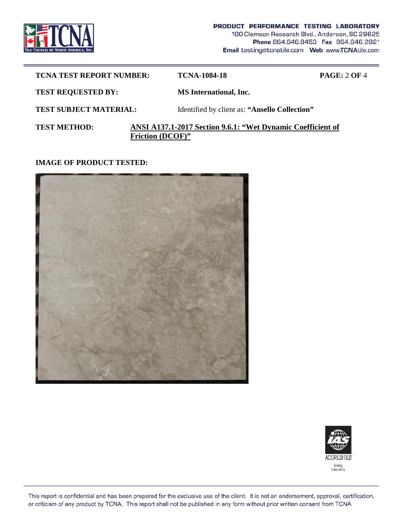

| <b>TCNA TEST REPORT NUMBER:</b> |                         | <b>TCNA-1084-18</b>                                         | <b>PAGE: 2 OF 4</b> |
|---------------------------------|-------------------------|-------------------------------------------------------------|---------------------|
| <b>TEST REQUESTED BY:</b>       |                         | <b>MS</b> International, Inc.                               |                     |
| <b>TEST SUBJECT MATERIAL:</b>   |                         | Identified by client as: "Ansello Collection"               |                     |
| <b>TEST METHOD:</b>             | <b>Friction (DCOF)"</b> | ANSI A137.1-2017 Section 9.6.1: "Wet Dynamic Coefficient of |                     |

**IMAGE OF PRODUCT TESTED:**





This report is confidential and has been prepared for the exclusive use of the client. It is not an endorsement, approval, certification, or criticism of any product by TCNA. This report shall not be published in any form without prior written consent from TCNA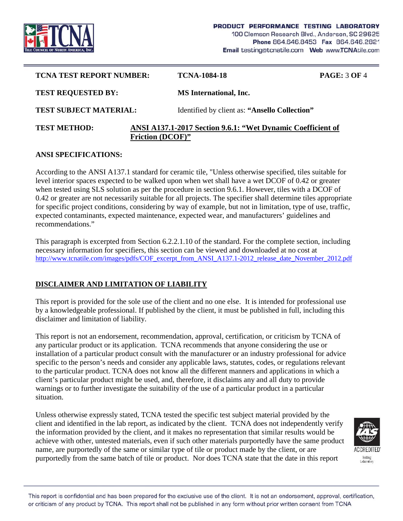

| <b>TCNA TEST REPORT NUMBER:</b>                                                                               |  | <b>TCNA-1084-18</b>                           | <b>PAGE: 3 OF 4</b> |  |
|---------------------------------------------------------------------------------------------------------------|--|-----------------------------------------------|---------------------|--|
| <b>TEST REQUESTED BY:</b>                                                                                     |  | <b>MS</b> International, Inc.                 |                     |  |
| <b>TEST SUBJECT MATERIAL:</b>                                                                                 |  | Identified by client as: "Ansello Collection" |                     |  |
| ANSI A137.1-2017 Section 9.6.1: "Wet Dynamic Coefficient of<br><b>TEST METHOD:</b><br><b>Friction (DCOF)"</b> |  |                                               |                     |  |

## **ANSI SPECIFICATIONS:**

According to the ANSI A137.1 standard for ceramic tile, "Unless otherwise specified, tiles suitable for level interior spaces expected to be walked upon when wet shall have a wet DCOF of 0.42 or greater when tested using SLS solution as per the procedure in section 9.6.1. However, tiles with a DCOF of 0.42 or greater are not necessarily suitable for all projects. The specifier shall determine tiles appropriate for specific project conditions, considering by way of example, but not in limitation, type of use, traffic, expected contaminants, expected maintenance, expected wear, and manufacturers' guidelines and recommendations."

This paragraph is excerpted from Section 6.2.2.1.10 of the standard. For the complete section, including necessary information for specifiers, this section can be viewed and downloaded at no cost at http://www.tcnatile.com/images/pdfs/COF\_excerpt\_from\_ANSI\_A137.1-2012\_release\_date\_November\_2012.pdf

# **DISCLAIMER AND LIMITATION OF LIABILITY**

This report is provided for the sole use of the client and no one else. It is intended for professional use by a knowledgeable professional. If published by the client, it must be published in full, including this disclaimer and limitation of liability.

This report is not an endorsement, recommendation, approval, certification, or criticism by TCNA of any particular product or its application. TCNA recommends that anyone considering the use or installation of a particular product consult with the manufacturer or an industry professional for advice specific to the person's needs and consider any applicable laws, statutes, codes, or regulations relevant to the particular product. TCNA does not know all the different manners and applications in which a client's particular product might be used, and, therefore, it disclaims any and all duty to provide warnings or to further investigate the suitability of the use of a particular product in a particular situation.

Unless otherwise expressly stated, TCNA tested the specific test subject material provided by the client and identified in the lab report, as indicated by the client. TCNA does not independently verify the information provided by the client, and it makes no representation that similar results would be achieve with other, untested materials, even if such other materials purportedly have the same product name, are purportedly of the same or similar type of tile or product made by the client, or are purportedly from the same batch of tile or product. Nor does TCNA state that the date in this report